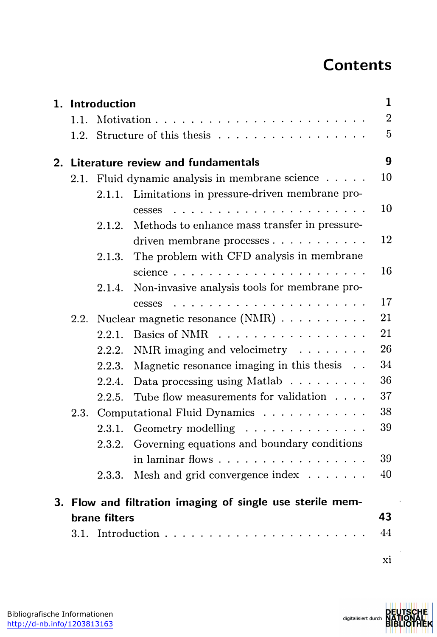## **Contents**

|  |                 | <b>Contents</b>                                                                                                                                                                                                                                                                                                                                                                                                                                                         |                |
|--|-----------------|-------------------------------------------------------------------------------------------------------------------------------------------------------------------------------------------------------------------------------------------------------------------------------------------------------------------------------------------------------------------------------------------------------------------------------------------------------------------------|----------------|
|  |                 |                                                                                                                                                                                                                                                                                                                                                                                                                                                                         |                |
|  | 1. Introduction |                                                                                                                                                                                                                                                                                                                                                                                                                                                                         | 1              |
|  |                 |                                                                                                                                                                                                                                                                                                                                                                                                                                                                         | $\overline{2}$ |
|  |                 |                                                                                                                                                                                                                                                                                                                                                                                                                                                                         | 5              |
|  |                 |                                                                                                                                                                                                                                                                                                                                                                                                                                                                         |                |
|  |                 | 2. Literature review and fundamentals<br>2.1. Fluid dynamic analysis in membrane science                                                                                                                                                                                                                                                                                                                                                                                | 9<br>10        |
|  | 2.1.1.          | Limitations in pressure-driven membrane pro-                                                                                                                                                                                                                                                                                                                                                                                                                            |                |
|  |                 | $\label{eq:2} \begin{array}{lllllllllllllllllll} \mathbf{1}_{\mathbf{1}} & \mathbf{1}_{\mathbf{1}} & \mathbf{1}_{\mathbf{1}} & \mathbf{1}_{\mathbf{1}} & \mathbf{1}_{\mathbf{1}} & \mathbf{1}_{\mathbf{1}} & \mathbf{1}_{\mathbf{1}} & \mathbf{1}_{\mathbf{1}} & \mathbf{1}_{\mathbf{1}} & \mathbf{1}_{\mathbf{1}} & \mathbf{1}_{\mathbf{1}} & \mathbf{1}_{\mathbf{1}} & \mathbf{1}_{\mathbf{1}} & \mathbf{1}_{\mathbf{1}} & \mathbf{1}_{\mathbf{1}} & \math$<br>cesses | 10             |
|  |                 | 2.1.2. Methods to enhance mass transfer in pressure-                                                                                                                                                                                                                                                                                                                                                                                                                    |                |
|  |                 | driven membrane processes                                                                                                                                                                                                                                                                                                                                                                                                                                               | 12             |
|  | 2.1.3.          | The problem with CFD analysis in membrane                                                                                                                                                                                                                                                                                                                                                                                                                               | 16             |
|  |                 | science<br>2.1.4. Non-invasive analysis tools for membrane pro-                                                                                                                                                                                                                                                                                                                                                                                                         |                |
|  |                 |                                                                                                                                                                                                                                                                                                                                                                                                                                                                         |                |
|  |                 |                                                                                                                                                                                                                                                                                                                                                                                                                                                                         |                |
|  |                 | cesses<br>2.2. Nuclear magnetic resonance $(NMR) \dots \dots \dots$                                                                                                                                                                                                                                                                                                                                                                                                     | 21             |
|  | 2.2.1.          | Basics of NMR                                                                                                                                                                                                                                                                                                                                                                                                                                                           | 21             |
|  | 2.2.2.          | NMR imaging and velocimetry $\dots \dots$                                                                                                                                                                                                                                                                                                                                                                                                                               | 26             |
|  | 2.2.3.          | Magnetic resonance imaging in this thesis $\ldots$                                                                                                                                                                                                                                                                                                                                                                                                                      | 34             |
|  |                 | 2.2.4. Data processing using Matlab                                                                                                                                                                                                                                                                                                                                                                                                                                     | 36             |
|  |                 | 2.2.5. Tube flow measurements for validation $\dots$                                                                                                                                                                                                                                                                                                                                                                                                                    | 37             |
|  |                 | 2.3. Computational Fluid Dynamics<br>2.3.1. Geometry modelling $\ldots \ldots \ldots \ldots$                                                                                                                                                                                                                                                                                                                                                                            | 38<br>39       |
|  |                 | 2.3.2. Governing equations and boundary conditions                                                                                                                                                                                                                                                                                                                                                                                                                      |                |
|  |                 | in laminar flows                                                                                                                                                                                                                                                                                                                                                                                                                                                        | 39             |
|  |                 | 2.3.3. Mesh and grid convergence index $\dots \dots$                                                                                                                                                                                                                                                                                                                                                                                                                    | 40             |
|  |                 |                                                                                                                                                                                                                                                                                                                                                                                                                                                                         |                |
|  | brane filters   | 3. Flow and filtration imaging of single use sterile mem-                                                                                                                                                                                                                                                                                                                                                                                                               | 43             |
|  |                 |                                                                                                                                                                                                                                                                                                                                                                                                                                                                         | 17<br>44       |

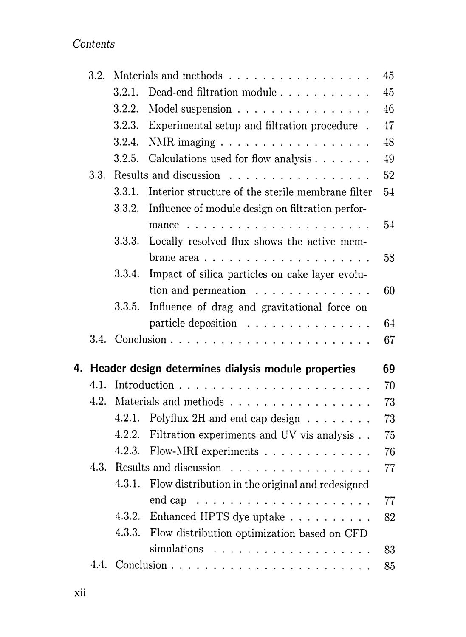Contents

| Contents |        |                                                            |    |
|----------|--------|------------------------------------------------------------|----|
|          |        |                                                            |    |
| 3.2.     |        | Materials and methods                                      | 45 |
|          | 3.2.1. | Dead-end filtration module                                 | 45 |
|          | 3.2.2. | Model suspension $\ldots \ldots \ldots \ldots \ldots$      | 46 |
|          | 3.2.3. | Experimental setup and filtration procedure.               | 47 |
|          | 3.2.4. |                                                            | 48 |
|          | 3.2.5. | Calculations used for flow analysis                        | 49 |
| 3.3.     |        | Results and discussion                                     | 52 |
|          | 3.3.1. | Interior structure of the sterile membrane filter          | 54 |
|          | 3.3.2. | Influence of module design on filtration perfor-           | 54 |
|          |        | 3.3.3. Locally resolved flux shows the active mem-         |    |
|          |        |                                                            | 58 |
|          | 3.3.4. | Impact of silica particles on cake layer evolu-            |    |
|          |        | tion and permeation $\dots \dots \dots \dots$              | 60 |
|          | 3.3.5. | Influence of drag and gravitational force on               |    |
|          |        | particle deposition $\ldots \ldots \ldots \ldots$          | 64 |
|          |        |                                                            | 67 |
|          |        |                                                            |    |
|          |        | 4. Header design determines dialysis module properties     | 69 |
| 4.1.     |        |                                                            | 70 |
| 4.2.     |        | Materials and methods                                      | 73 |
|          | 4.2.1. | Polyflux 2H and end cap design                             | 73 |
|          | 4.2.2. | Filtration experiments and UV vis analysis                 | 75 |
|          |        | 4.2.3. Flow-MRI experiments                                | 76 |
|          |        | 4.3. Results and discussion                                | 77 |
|          |        | 4.3.1. Flow distribution in the original and redesigned    |    |
|          |        | end cap $\ldots \ldots \ldots \ldots \ldots \ldots \ldots$ | 77 |
|          |        | 4.3.2. Enhanced HPTS dye uptake                            | 82 |
|          |        | 4.3.3. Flow distribution optimization based on CFD         |    |
|          |        | simulations $\ldots \ldots \ldots \ldots \ldots \ldots$    | 83 |
|          |        |                                                            | 85 |
|          |        |                                                            |    |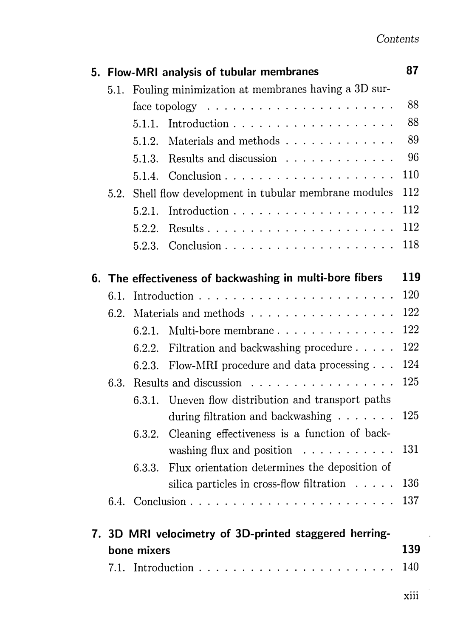|      |                                                         | 5. Flow-MRI analysis of tubular membranes                        | 87  |
|------|---------------------------------------------------------|------------------------------------------------------------------|-----|
|      |                                                         | 5.1. Fouling minimization at membranes having a 3D sur-          |     |
|      |                                                         | face topology $\ldots \ldots \ldots \ldots \ldots \ldots \ldots$ | 88  |
|      | 5.1.1.                                                  |                                                                  | 88  |
|      | 5.1.2.                                                  | Materials and methods                                            | 89  |
|      | 5.1.3.                                                  | Results and discussion                                           | 96  |
|      |                                                         |                                                                  | 110 |
|      | 5.2. Shell flow development in tubular membrane modules |                                                                  | 112 |
|      | 5.2.1.                                                  | Introduction $\ldots \ldots \ldots \ldots \ldots \ldots$         | 112 |
|      | 5.2.2.                                                  |                                                                  | 112 |
|      |                                                         |                                                                  | 118 |
|      |                                                         | 6. The effectiveness of backwashing in multi-bore fibers         | 119 |
|      |                                                         |                                                                  | 120 |
| 6.2. |                                                         | Materials and methods                                            | 122 |
|      | 6.2.1.                                                  | Multi-bore membrane                                              | 122 |
|      | 6.2.2.                                                  | Filtration and backwashing procedure $\ldots$ .                  | 122 |
|      |                                                         | 6.2.3. Flow-MRI procedure and data processing $\ldots$           | 124 |
|      |                                                         | 6.3. Results and discussion $\ldots \ldots \ldots \ldots \ldots$ | 125 |
|      |                                                         | 6.3.1. Uneven flow distribution and transport paths              |     |
|      |                                                         | during filtration and backwashing $\ldots \ldots \ldots$ 125     |     |
|      |                                                         | 6.3.2. Cleaning effectiveness is a function of back-             |     |
|      |                                                         | washing flux and position $\ldots \ldots \ldots \ldots 131$      |     |
|      |                                                         | 6.3.3. Flux orientation determines the deposition of             |     |
|      |                                                         | silica particles in cross-flow filtration $\ldots$ . 136         |     |
|      |                                                         |                                                                  |     |
|      |                                                         | 7. 3D MRI velocimetry of 3D-printed staggered herring-           |     |
|      | bone mixers                                             |                                                                  | 139 |
|      |                                                         |                                                                  | 140 |
|      |                                                         |                                                                  |     |